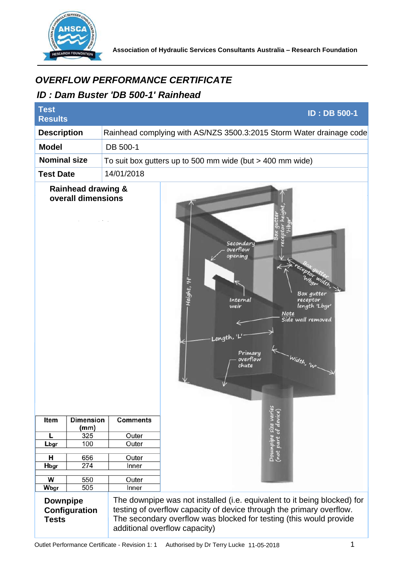

## *ID : Dam Buster 'DB 500-1' Rainhead*

| <i><b>OVERFLOW PERFORMANCE CERTIFICATE</b></i><br>ID: Dam Buster 'DB 500-1' Rainhead |                          |                 |                                                                                                                                                                                                                                                         |
|--------------------------------------------------------------------------------------|--------------------------|-----------------|---------------------------------------------------------------------------------------------------------------------------------------------------------------------------------------------------------------------------------------------------------|
| <b>Test</b><br><b>Results</b>                                                        |                          |                 | <b>ID: DB 500-1</b>                                                                                                                                                                                                                                     |
| <b>Description</b>                                                                   |                          |                 | Rainhead complying with AS/NZS 3500.3:2015 Storm Water drainage code                                                                                                                                                                                    |
| <b>Model</b>                                                                         |                          | DB 500-1        |                                                                                                                                                                                                                                                         |
| <b>Nominal size</b>                                                                  |                          |                 | To suit box gutters up to 500 mm wide (but $>$ 400 mm wide)                                                                                                                                                                                             |
| 14/01/2018<br><b>Test Date</b>                                                       |                          |                 |                                                                                                                                                                                                                                                         |
| <b>Rainhead drawing &amp;</b><br>overall dimensions                                  |                          | <b>Comments</b> | Secondary<br>overflow<br>opening<br>Height, 'H'<br>Box autter<br>Internal<br>receptor<br>length 'Lbgr'<br>weir<br>Note<br>Side wall removed<br>Length, 'I<br>Primary<br>Width, 'WI<br>overflow<br>chute<br>V                                            |
| Item                                                                                 | <b>Dimension</b><br>(mm) |                 | Downpipe size varies<br>(not part of device)                                                                                                                                                                                                            |
| L                                                                                    | 325                      | Outer           |                                                                                                                                                                                                                                                         |
| Lbgr                                                                                 | 100                      | Outer           |                                                                                                                                                                                                                                                         |
| н                                                                                    | 656                      | Outer           |                                                                                                                                                                                                                                                         |
| Hbgr                                                                                 | 274                      | Inner           |                                                                                                                                                                                                                                                         |
| W                                                                                    | 550                      | Outer           |                                                                                                                                                                                                                                                         |
| Wbgr                                                                                 | 505                      | Inner           |                                                                                                                                                                                                                                                         |
| <b>Downpipe</b><br>Configuration<br><b>Tests</b>                                     |                          |                 | The downpipe was not installed (i.e. equivalent to it being blocked) for<br>testing of overflow capacity of device through the primary overflow.<br>The secondary overflow was blocked for testing (this would provide<br>additional overflow capacity) |